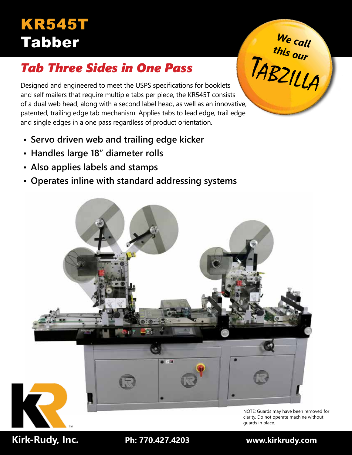# KR545T Tabber *We call*

# *Tab Three Sides in One Pass*

Designed and engineered to meet the USPS specifications for booklets and self mailers that require multiple tabs per piece, the KR545T consists of a dual web head, along with a second label head, as well as an innovative, patented, trailing edge tab mechanism. Applies tabs to lead edge, trail edge and single edges in a one pass regardless of product orientation. <sup>T</sup>ABZILLA

- **• Servo driven web and trailing edge kicker**
- **• Handles large 18" diameter rolls**
- **• Also applies labels and stamps**
- **• Operates inline with standard addressing systems**



NOTE: Guards may have been removed for clarity. Do not operate machine without guards in place.

*this our*

 **Kirk-Rudy, Inc. Ph: 770.427.4203 www.kirkrudy.com**